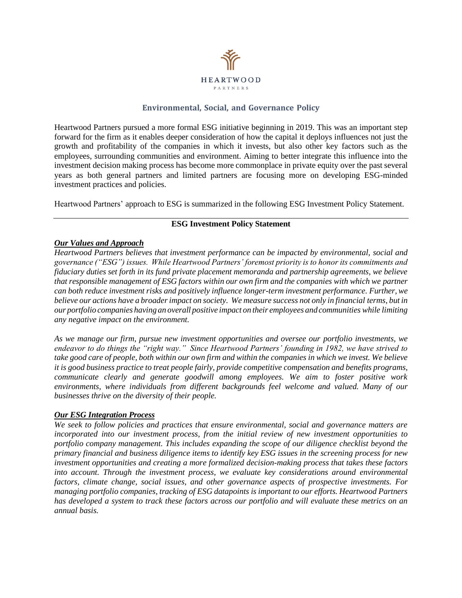

# **Environmental, Social, and Governance Policy**

Heartwood Partners pursued a more formal ESG initiative beginning in 2019. This was an important step forward for the firm as it enables deeper consideration of how the capital it deploys influences not just the growth and profitability of the companies in which it invests, but also other key factors such as the employees, surrounding communities and environment. Aiming to better integrate this influence into the investment decision making process has become more commonplace in private equity over the past several years as both general partners and limited partners are focusing more on developing ESG-minded investment practices and policies.

Heartwood Partners' approach to ESG is summarized in the following ESG Investment Policy Statement.

### **ESG Investment Policy Statement**

### *Our Values and Approach*

*Heartwood Partners believes that investment performance can be impacted by environmental, social and governance ("ESG") issues. While Heartwood Partners' foremost priority is to honor its commitments and fiduciary duties set forth in its fund private placement memoranda and partnership agreements, we believe that responsible management of ESG factors within our own firm and the companies with which we partner can both reduce investment risks and positively influence longer-term investment performance. Further, we* believe our actions have a broader impact on society. We measure success not only in financial terms, but in *our portfolio companies having an overall positive impact on their employees and communities while limiting any negative impact on the environment.*

*As we manage our firm, pursue new investment opportunities and oversee our portfolio investments, we endeavor to do things the "right way." Since Heartwood Partners' founding in 1982, we have strived to*  take good care of people, both within our own firm and within the companies in which we invest. We believe *it is good business practice to treat people fairly, provide competitive compensation and benefits programs, communicate clearly and generate goodwill among employees. We aim to foster positive work environments, where individuals from different backgrounds feel welcome and valued. Many of our businesses thrive on the diversity of their people.*

### *Our ESG Integration Process*

*We seek to follow policies and practices that ensure environmental, social and governance matters are incorporated into our investment process, from the initial review of new investment opportunities to portfolio company management. This includes expanding the scope of our diligence checklist beyond the*  primary financial and business diligence items to identify key ESG issues in the screening process for new *investment opportunities and creating a more formalized decision-making process that takes these factors into account. Through the investment process, we evaluate key considerations around environmental factors, climate change, social issues, and other governance aspects of prospective investments. For managing portfolio companies, tracking of ESG datapoints is important to our efforts. Heartwood Partners has developed a system to track these factors across our portfolio and will evaluate these metrics on an annual basis.*